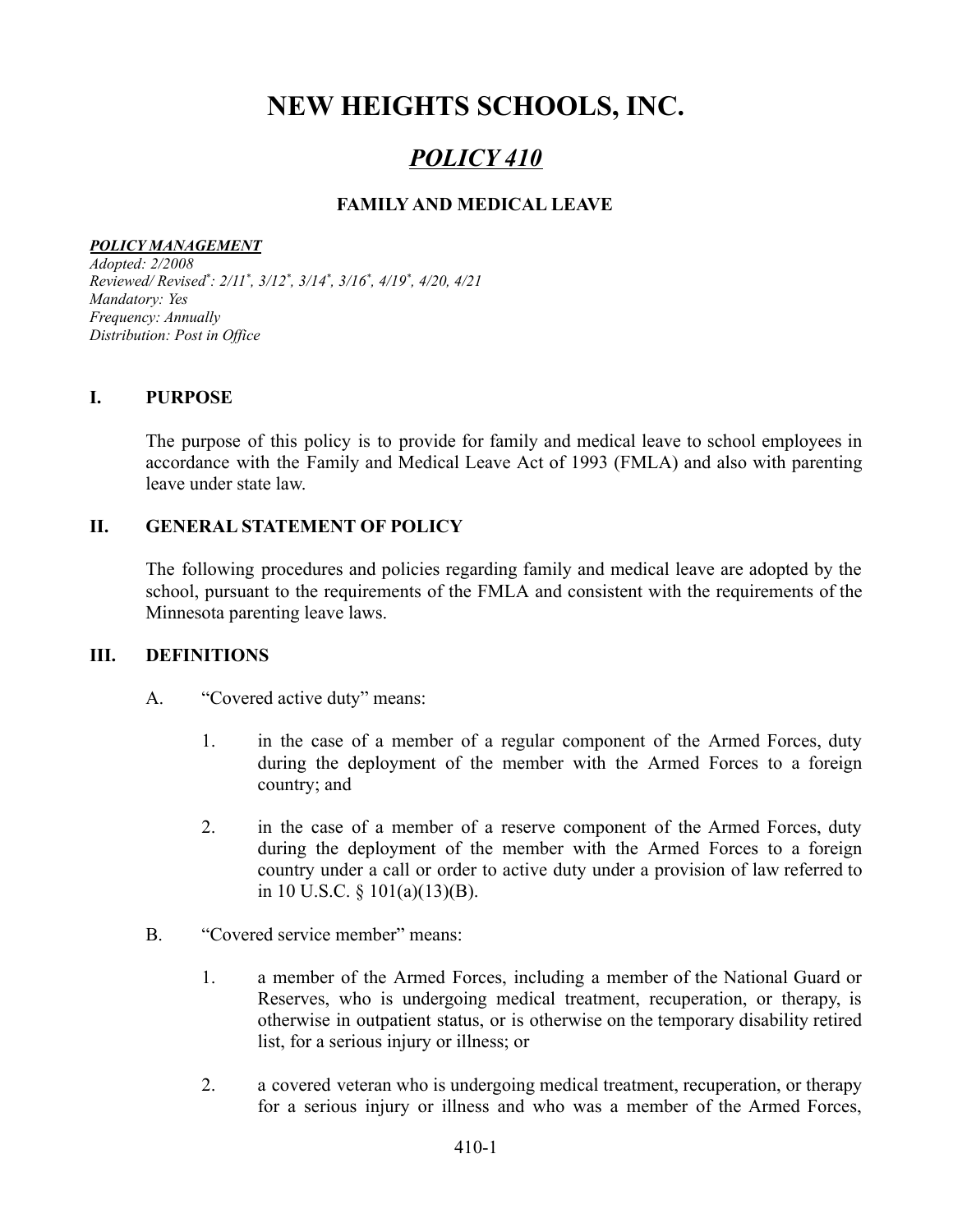# **NEW HEIGHTS SCHOOLS, INC.**

# *POLICY 410*

# **FAMILY AND MEDICAL LEAVE**

#### *POLICY MANAGEMENT*

*Adopted: 2/2008 Reviewed/ Revised \* : 2/11 \* , 3/12 \* , 3/14 \* , 3/16 \* , 4/19 \* , 4/20, 4/21 Mandatory: Yes Frequency: Annually Distribution: Post in Of ice*

### **I. PURPOSE**

The purpose of this policy is to provide for family and medical leave to school employees in accordance with the Family and Medical Leave Act of 1993 (FMLA) and also with parenting leave under state law.

### **II. GENERAL STATEMENT OF POLICY**

The following procedures and policies regarding family and medical leave are adopted by the school, pursuant to the requirements of the FMLA and consistent with the requirements of the Minnesota parenting leave laws.

#### **III. DEFINITIONS**

- A. "Covered active duty" means:
	- 1. in the case of a member of a regular component of the Armed Forces, duty during the deployment of the member with the Armed Forces to a foreign country; and
	- 2. in the case of a member of a reserve component of the Armed Forces, duty during the deployment of the member with the Armed Forces to a foreign country under a call or order to active duty under a provision of law referred to in 10 U.S.C. § 101(a)(13)(B).
- B. "Covered service member" means:
	- 1. a member of the Armed Forces, including a member of the National Guard or Reserves, who is undergoing medical treatment, recuperation, or therapy, is otherwise in outpatient status, or is otherwise on the temporary disability retired list, for a serious injury or illness; or
	- 2. a covered veteran who is undergoing medical treatment, recuperation, or therapy for a serious injury or illness and who was a member of the Armed Forces,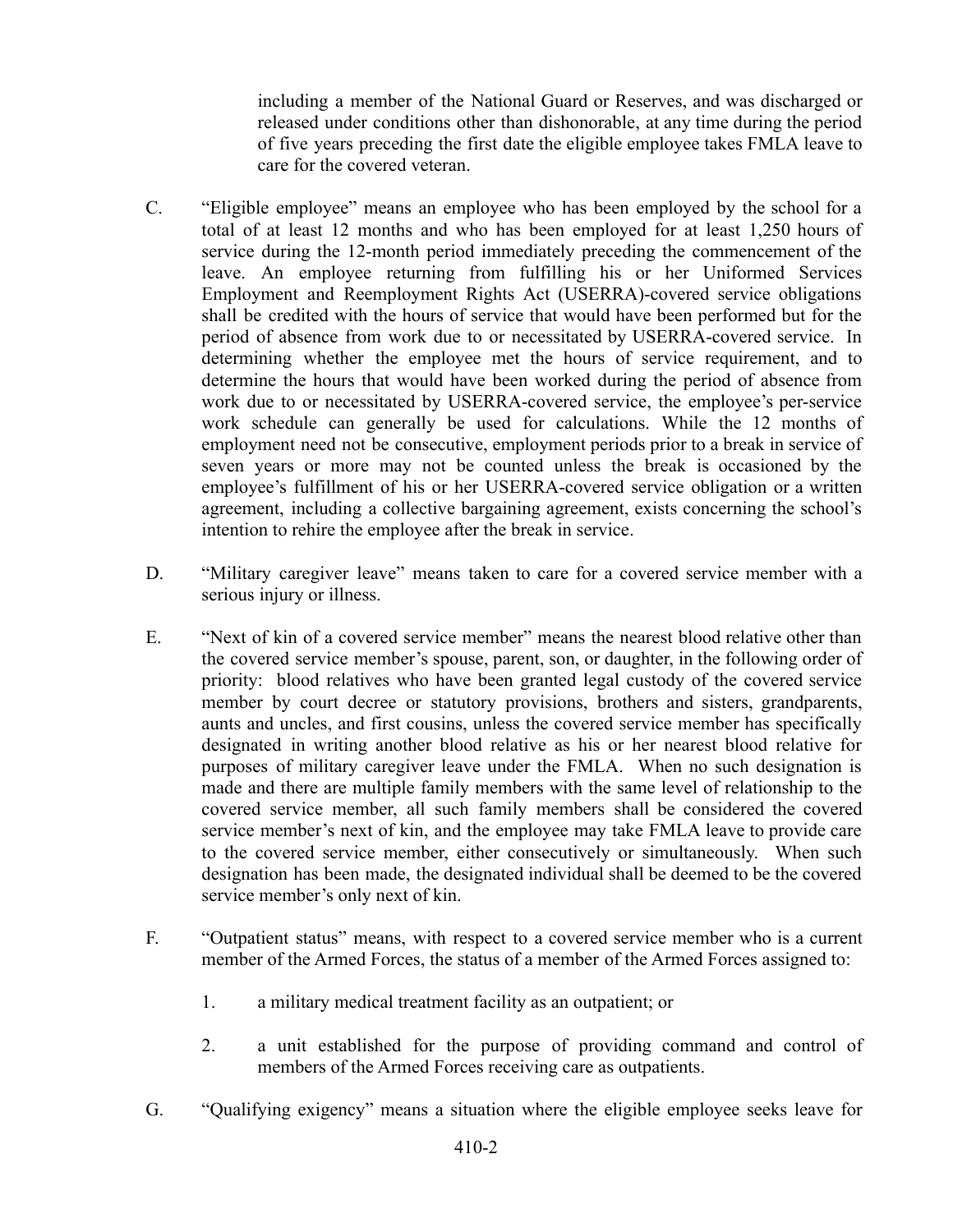including a member of the National Guard or Reserves, and was discharged or released under conditions other than dishonorable, at any time during the period of five years preceding the first date the eligible employee takes FMLA leave to care for the covered veteran.

- C. "Eligible employee" means an employee who has been employed by the school for a total of at least 12 months and who has been employed for at least 1,250 hours of service during the 12-month period immediately preceding the commencement of the leave. An employee returning from fulfilling his or her Uniformed Services Employment and Reemployment Rights Act (USERRA)-covered service obligations shall be credited with the hours of service that would have been performed but for the period of absence from work due to or necessitated by USERRA-covered service. In determining whether the employee met the hours of service requirement, and to determine the hours that would have been worked during the period of absence from work due to or necessitated by USERRA-covered service, the employee's per-service work schedule can generally be used for calculations. While the 12 months of employment need not be consecutive, employment periods prior to a break in service of seven years or more may not be counted unless the break is occasioned by the employee's fulfillment of his or her USERRA-covered service obligation or a written agreement, including a collective bargaining agreement, exists concerning the school's intention to rehire the employee after the break in service.
- D. "Military caregiver leave" means taken to care for a covered service member with a serious injury or illness.
- E. "Next of kin of a covered service member" means the nearest blood relative other than the covered service member's spouse, parent, son, or daughter, in the following order of priority: blood relatives who have been granted legal custody of the covered service member by court decree or statutory provisions, brothers and sisters, grandparents, aunts and uncles, and first cousins, unless the covered service member has specifically designated in writing another blood relative as his or her nearest blood relative for purposes of military caregiver leave under the FMLA. When no such designation is made and there are multiple family members with the same level of relationship to the covered service member, all such family members shall be considered the covered service member's next of kin, and the employee may take FMLA leave to provide care to the covered service member, either consecutively or simultaneously. When such designation has been made, the designated individual shall be deemed to be the covered service member's only next of kin.
- F. "Outpatient status" means, with respect to a covered service member who is a current member of the Armed Forces, the status of a member of the Armed Forces assigned to:
	- 1. a military medical treatment facility as an outpatient; or
	- 2. a unit established for the purpose of providing command and control of members of the Armed Forces receiving care as outpatients.
- G. "Qualifying exigency" means a situation where the eligible employee seeks leave for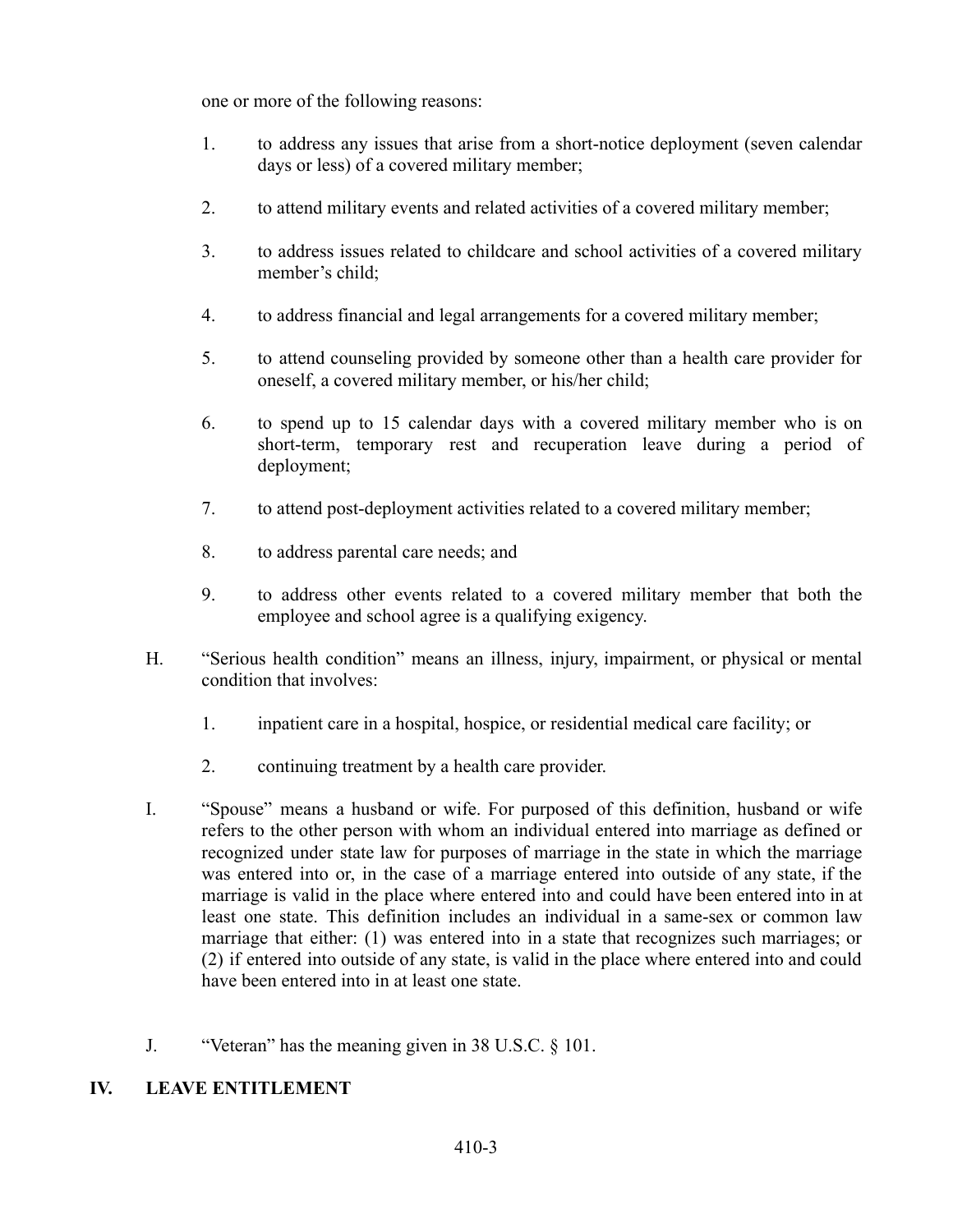one or more of the following reasons:

- 1. to address any issues that arise from a short-notice deployment (seven calendar days or less) of a covered military member;
- 2. to attend military events and related activities of a covered military member;
- 3. to address issues related to childcare and school activities of a covered military member's child;
- 4. to address financial and legal arrangements for a covered military member;
- 5. to attend counseling provided by someone other than a health care provider for oneself, a covered military member, or his/her child;
- 6. to spend up to 15 calendar days with a covered military member who is on short-term, temporary rest and recuperation leave during a period of deployment;
- 7. to attend post-deployment activities related to a covered military member;
- 8. to address parental care needs; and
- 9. to address other events related to a covered military member that both the employee and school agree is a qualifying exigency.
- H. "Serious health condition" means an illness, injury, impairment, or physical or mental condition that involves:
	- 1. inpatient care in a hospital, hospice, or residential medical care facility; or
	- 2. continuing treatment by a health care provider.
- I. "Spouse" means a husband or wife. For purposed of this definition, husband or wife refers to the other person with whom an individual entered into marriage as defined or recognized under state law for purposes of marriage in the state in which the marriage was entered into or, in the case of a marriage entered into outside of any state, if the marriage is valid in the place where entered into and could have been entered into in at least one state. This definition includes an individual in a same-sex or common law marriage that either: (1) was entered into in a state that recognizes such marriages; or (2) if entered into outside of any state, is valid in the place where entered into and could have been entered into in at least one state.
- J. "Veteran" has the meaning given in 38 U.S.C. § 101.

# **IV. LEAVE ENTITLEMENT**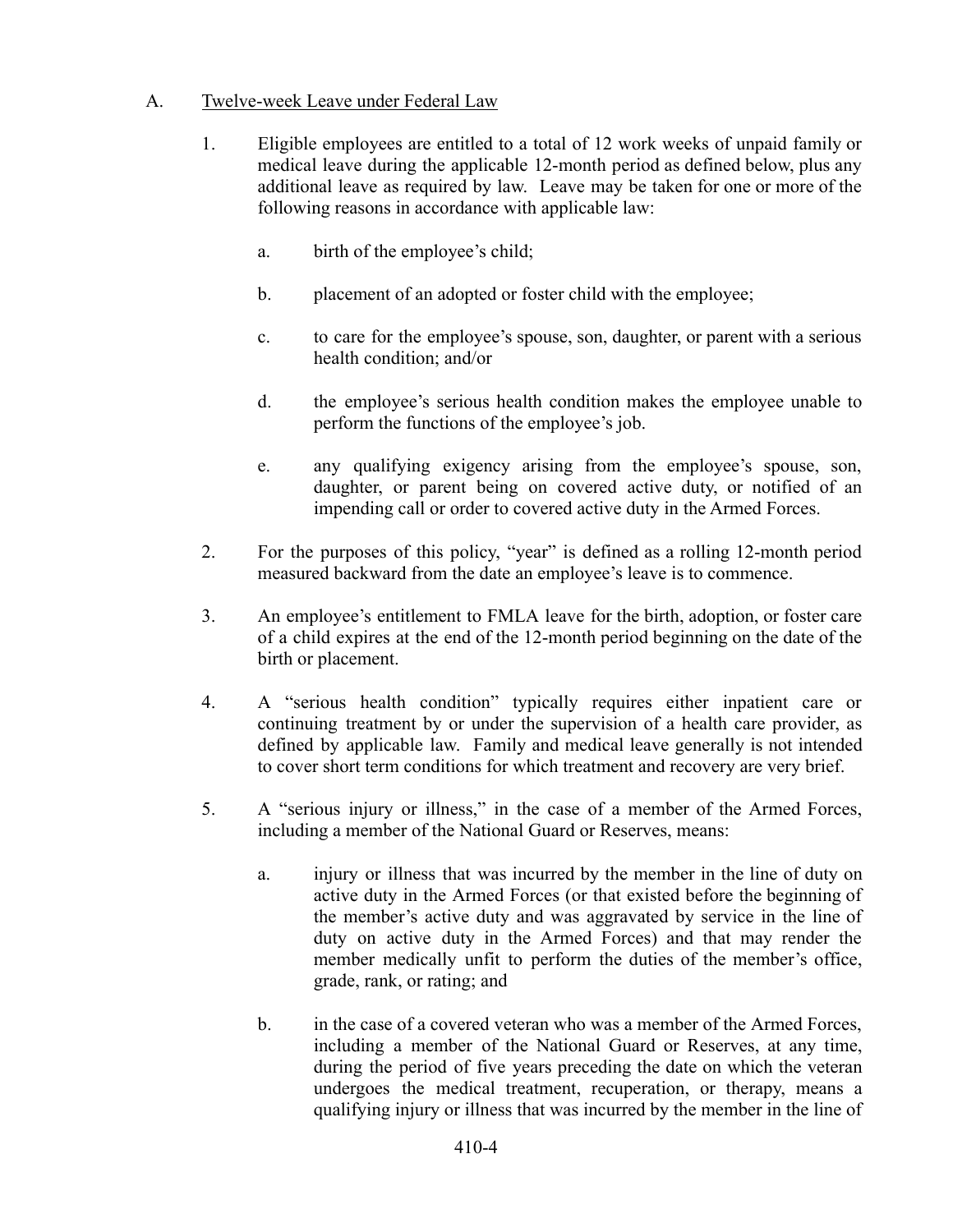## A. Twelve-week Leave under Federal Law

- 1. Eligible employees are entitled to a total of 12 work weeks of unpaid family or medical leave during the applicable 12-month period as defined below, plus any additional leave as required by law. Leave may be taken for one or more of the following reasons in accordance with applicable law:
	- a. birth of the employee's child;
	- b. placement of an adopted or foster child with the employee;
	- c. to care for the employee's spouse, son, daughter, or parent with a serious health condition; and/or
	- d. the employee's serious health condition makes the employee unable to perform the functions of the employee's job.
	- e. any qualifying exigency arising from the employee's spouse, son, daughter, or parent being on covered active duty, or notified of an impending call or order to covered active duty in the Armed Forces.
- 2. For the purposes of this policy, "year" is defined as a rolling 12-month period measured backward from the date an employee's leave is to commence.
- 3. An employee's entitlement to FMLA leave for the birth, adoption, or foster care of a child expires at the end of the 12-month period beginning on the date of the birth or placement.
- 4. A "serious health condition" typically requires either inpatient care or continuing treatment by or under the supervision of a health care provider, as defined by applicable law. Family and medical leave generally is not intended to cover short term conditions for which treatment and recovery are very brief.
- 5. A "serious injury or illness," in the case of a member of the Armed Forces, including a member of the National Guard or Reserves, means:
	- a. injury or illness that was incurred by the member in the line of duty on active duty in the Armed Forces (or that existed before the beginning of the member's active duty and was aggravated by service in the line of duty on active duty in the Armed Forces) and that may render the member medically unfit to perform the duties of the member's office, grade, rank, or rating; and
	- b. in the case of a covered veteran who was a member of the Armed Forces, including a member of the National Guard or Reserves, at any time, during the period of five years preceding the date on which the veteran undergoes the medical treatment, recuperation, or therapy, means a qualifying injury or illness that was incurred by the member in the line of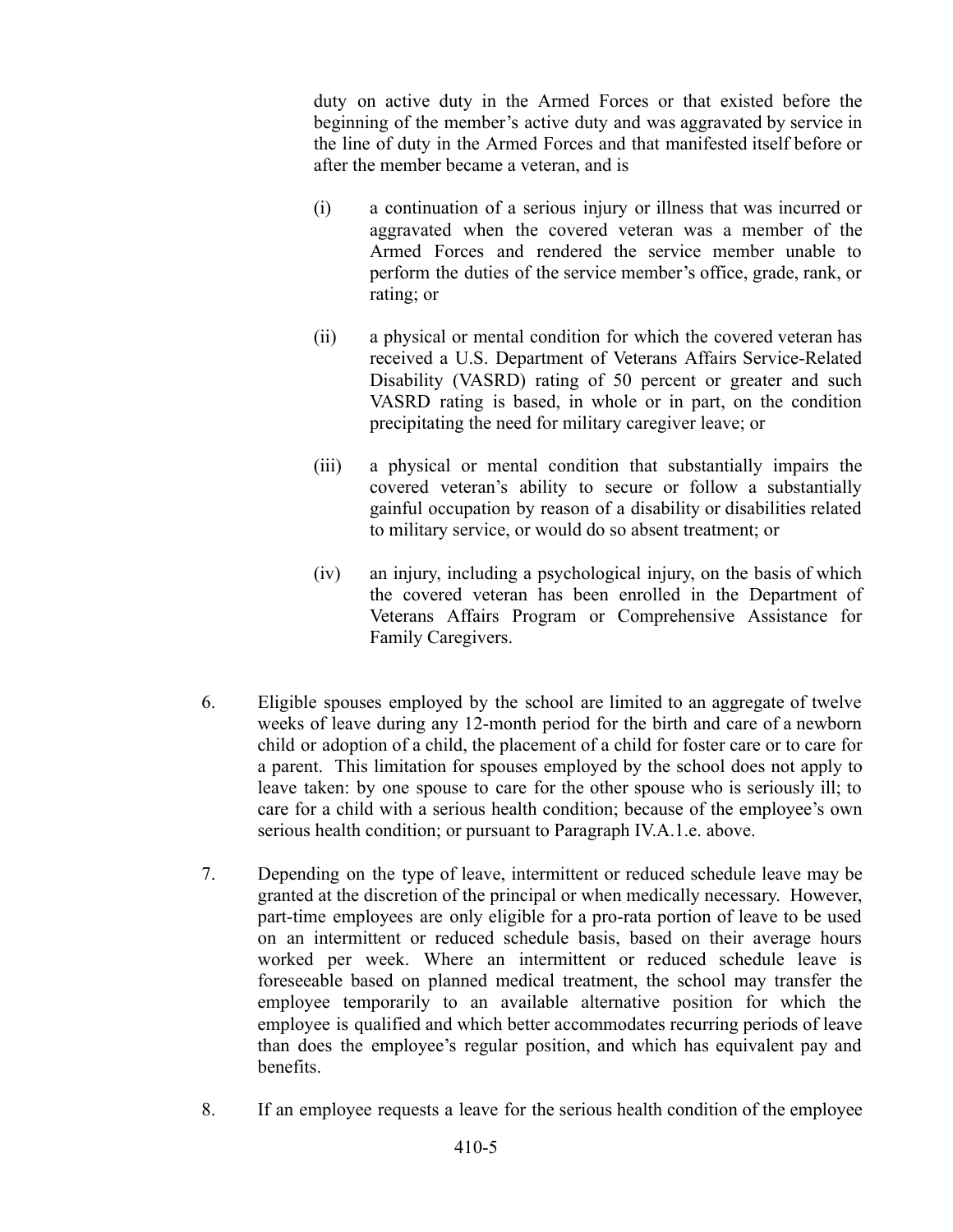duty on active duty in the Armed Forces or that existed before the beginning of the member's active duty and was aggravated by service in the line of duty in the Armed Forces and that manifested itself before or after the member became a veteran, and is

- (i) a continuation of a serious injury or illness that was incurred or aggravated when the covered veteran was a member of the Armed Forces and rendered the service member unable to perform the duties of the service member's office, grade, rank, or rating; or
- (ii) a physical or mental condition for which the covered veteran has received a U.S. Department of Veterans Affairs Service-Related Disability (VASRD) rating of 50 percent or greater and such VASRD rating is based, in whole or in part, on the condition precipitating the need for military caregiver leave; or
- (iii) a physical or mental condition that substantially impairs the covered veteran's ability to secure or follow a substantially gainful occupation by reason of a disability or disabilities related to military service, or would do so absent treatment; or
- (iv) an injury, including a psychological injury, on the basis of which the covered veteran has been enrolled in the Department of Veterans Affairs Program or Comprehensive Assistance for Family Caregivers.
- 6. Eligible spouses employed by the school are limited to an aggregate of twelve weeks of leave during any 12-month period for the birth and care of a newborn child or adoption of a child, the placement of a child for foster care or to care for a parent. This limitation for spouses employed by the school does not apply to leave taken: by one spouse to care for the other spouse who is seriously ill; to care for a child with a serious health condition; because of the employee's own serious health condition; or pursuant to Paragraph IV.A.1.e. above.
- 7. Depending on the type of leave, intermittent or reduced schedule leave may be granted at the discretion of the principal or when medically necessary. However, part-time employees are only eligible for a pro-rata portion of leave to be used on an intermittent or reduced schedule basis, based on their average hours worked per week. Where an intermittent or reduced schedule leave is foreseeable based on planned medical treatment, the school may transfer the employee temporarily to an available alternative position for which the employee is qualified and which better accommodates recurring periods of leave than does the employee's regular position, and which has equivalent pay and benefits.
- 8. If an employee requests a leave for the serious health condition of the employee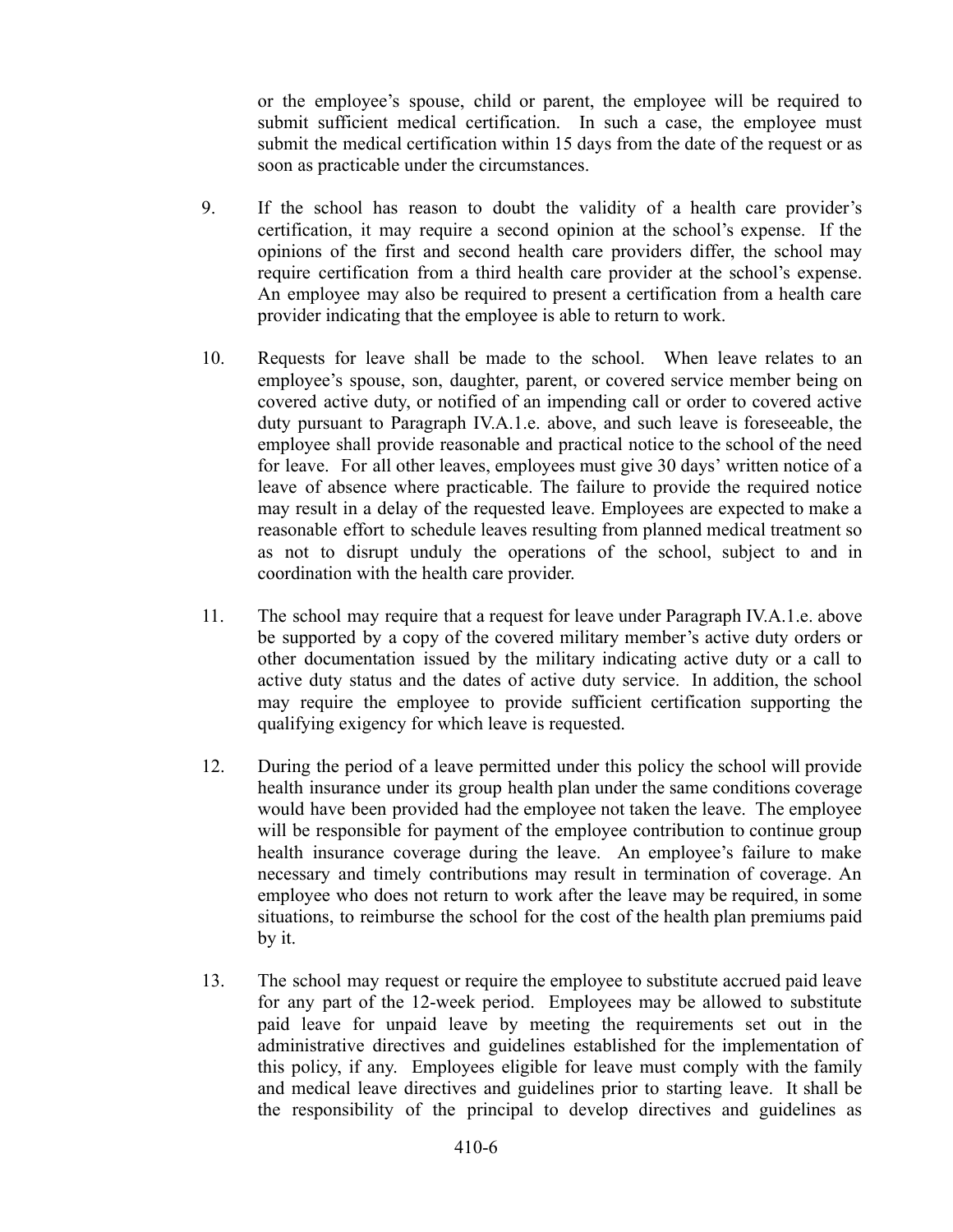or the employee's spouse, child or parent, the employee will be required to submit sufficient medical certification. In such a case, the employee must submit the medical certification within 15 days from the date of the request or as soon as practicable under the circumstances.

- 9. If the school has reason to doubt the validity of a health care provider's certification, it may require a second opinion at the school's expense. If the opinions of the first and second health care providers differ, the school may require certification from a third health care provider at the school's expense. An employee may also be required to present a certification from a health care provider indicating that the employee is able to return to work.
- 10. Requests for leave shall be made to the school. When leave relates to an employee's spouse, son, daughter, parent, or covered service member being on covered active duty, or notified of an impending call or order to covered active duty pursuant to Paragraph IV.A.1.e. above, and such leave is foreseeable, the employee shall provide reasonable and practical notice to the school of the need for leave. For all other leaves, employees must give 30 days' written notice of a leave of absence where practicable. The failure to provide the required notice may result in a delay of the requested leave. Employees are expected to make a reasonable effort to schedule leaves resulting from planned medical treatment so as not to disrupt unduly the operations of the school, subject to and in coordination with the health care provider.
- 11. The school may require that a request for leave under Paragraph IV.A.1.e. above be supported by a copy of the covered military member's active duty orders or other documentation issued by the military indicating active duty or a call to active duty status and the dates of active duty service. In addition, the school may require the employee to provide sufficient certification supporting the qualifying exigency for which leave is requested.
- 12. During the period of a leave permitted under this policy the school will provide health insurance under its group health plan under the same conditions coverage would have been provided had the employee not taken the leave. The employee will be responsible for payment of the employee contribution to continue group health insurance coverage during the leave. An employee's failure to make necessary and timely contributions may result in termination of coverage. An employee who does not return to work after the leave may be required, in some situations, to reimburse the school for the cost of the health plan premiums paid by it.
- 13. The school may request or require the employee to substitute accrued paid leave for any part of the 12-week period. Employees may be allowed to substitute paid leave for unpaid leave by meeting the requirements set out in the administrative directives and guidelines established for the implementation of this policy, if any. Employees eligible for leave must comply with the family and medical leave directives and guidelines prior to starting leave. It shall be the responsibility of the principal to develop directives and guidelines as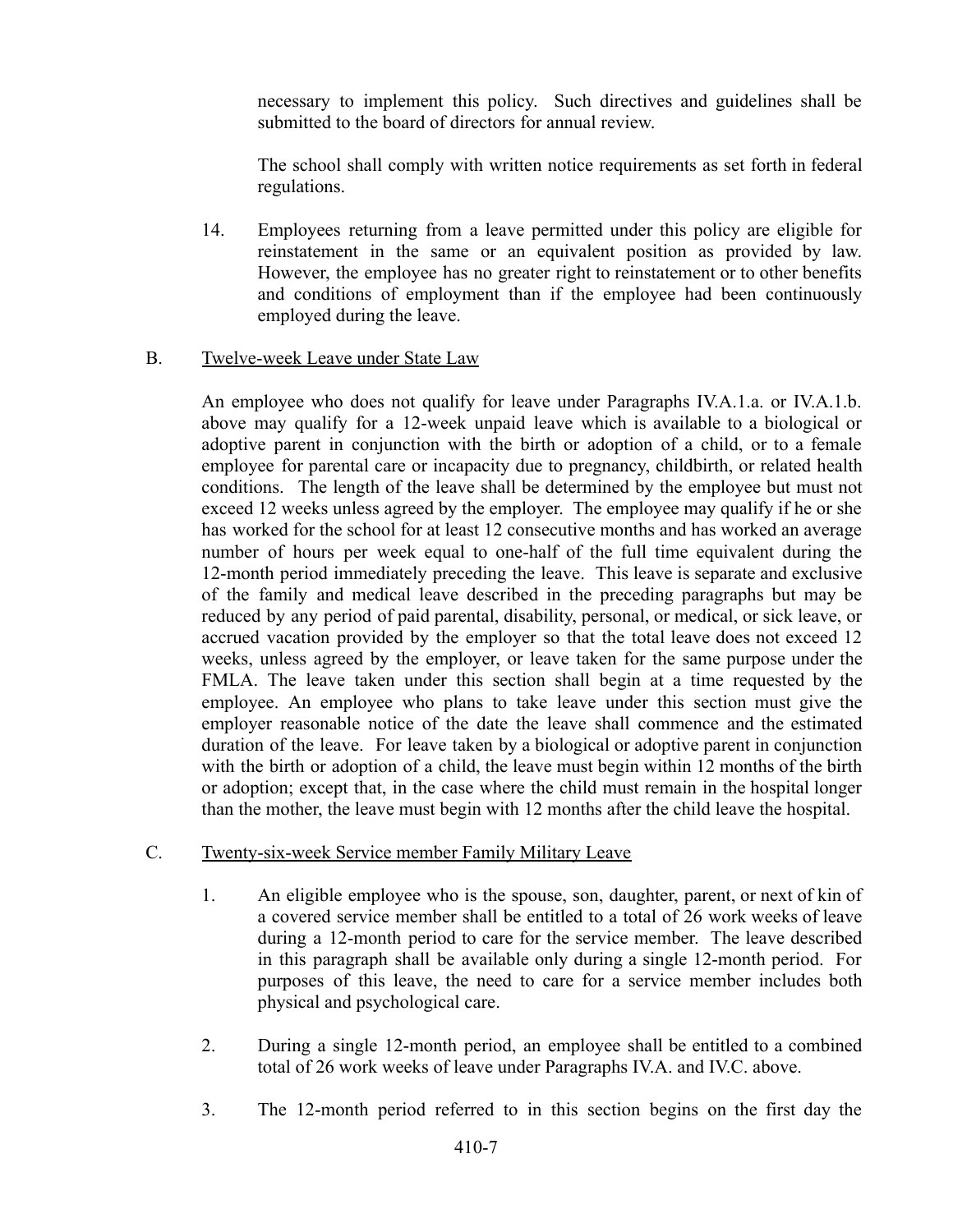necessary to implement this policy. Such directives and guidelines shall be submitted to the board of directors for annual review.

The school shall comply with written notice requirements as set forth in federal regulations.

14. Employees returning from a leave permitted under this policy are eligible for reinstatement in the same or an equivalent position as provided by law. However, the employee has no greater right to reinstatement or to other benefits and conditions of employment than if the employee had been continuously employed during the leave.

## B. Twelve-week Leave under State Law

An employee who does not qualify for leave under Paragraphs IV.A.1.a. or IV.A.1.b. above may qualify for a 12-week unpaid leave which is available to a biological or adoptive parent in conjunction with the birth or adoption of a child, or to a female employee for parental care or incapacity due to pregnancy, childbirth, or related health conditions. The length of the leave shall be determined by the employee but must not exceed 12 weeks unless agreed by the employer. The employee may qualify if he or she has worked for the school for at least 12 consecutive months and has worked an average number of hours per week equal to one-half of the full time equivalent during the 12-month period immediately preceding the leave. This leave is separate and exclusive of the family and medical leave described in the preceding paragraphs but may be reduced by any period of paid parental, disability, personal, or medical, or sick leave, or accrued vacation provided by the employer so that the total leave does not exceed 12 weeks, unless agreed by the employer, or leave taken for the same purpose under the FMLA. The leave taken under this section shall begin at a time requested by the employee. An employee who plans to take leave under this section must give the employer reasonable notice of the date the leave shall commence and the estimated duration of the leave. For leave taken by a biological or adoptive parent in conjunction with the birth or adoption of a child, the leave must begin within 12 months of the birth or adoption; except that, in the case where the child must remain in the hospital longer than the mother, the leave must begin with 12 months after the child leave the hospital.

## C. Twenty-six-week Service member Family Military Leave

- 1. An eligible employee who is the spouse, son, daughter, parent, or next of kin of a covered service member shall be entitled to a total of 26 work weeks of leave during a 12-month period to care for the service member. The leave described in this paragraph shall be available only during a single 12-month period. For purposes of this leave, the need to care for a service member includes both physical and psychological care.
- 2. During a single 12-month period, an employee shall be entitled to a combined total of 26 work weeks of leave under Paragraphs IV.A. and IV.C. above.
- 3. The 12-month period referred to in this section begins on the first day the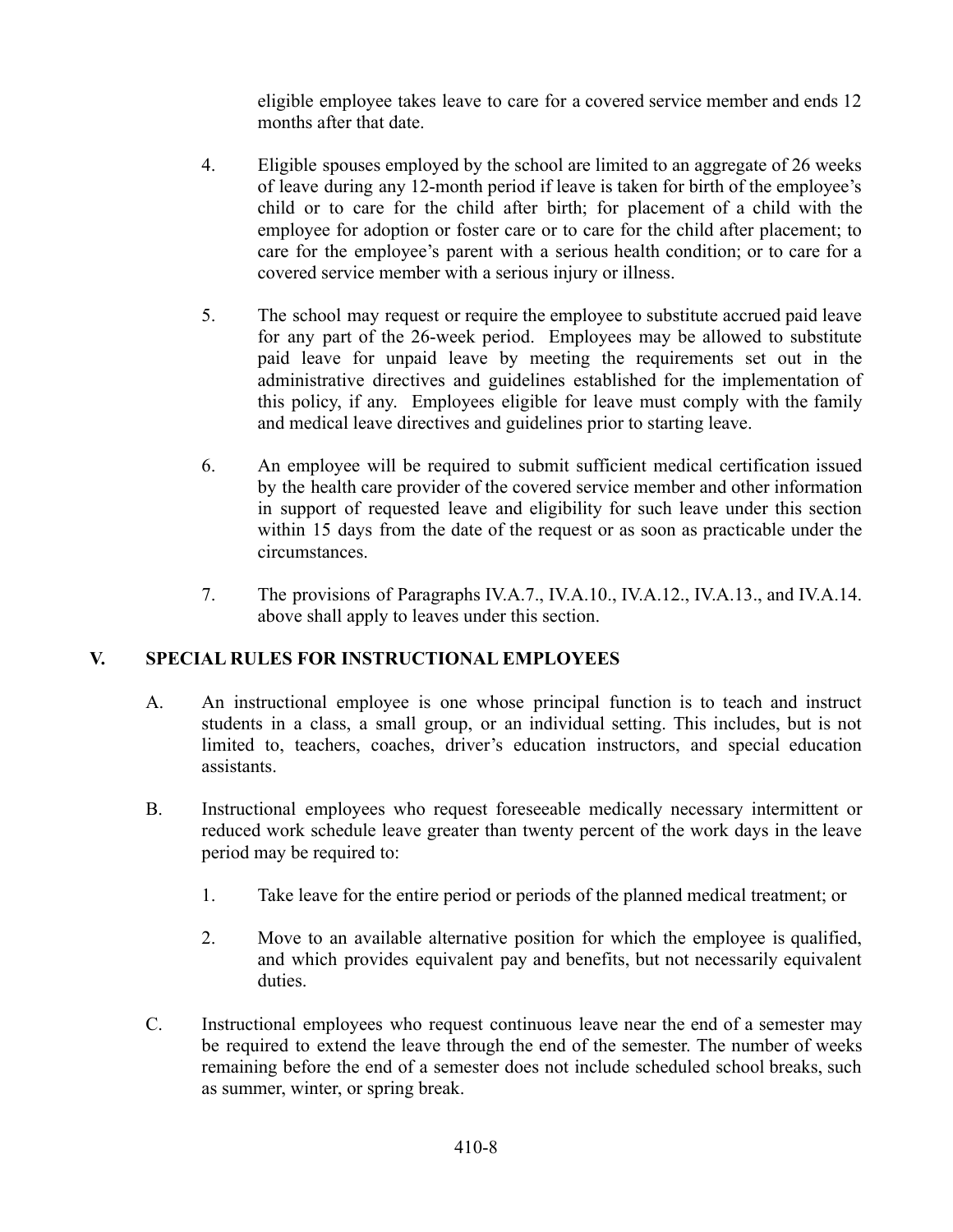eligible employee takes leave to care for a covered service member and ends 12 months after that date.

- 4. Eligible spouses employed by the school are limited to an aggregate of 26 weeks of leave during any 12-month period if leave is taken for birth of the employee's child or to care for the child after birth; for placement of a child with the employee for adoption or foster care or to care for the child after placement; to care for the employee's parent with a serious health condition; or to care for a covered service member with a serious injury or illness.
- 5. The school may request or require the employee to substitute accrued paid leave for any part of the 26-week period. Employees may be allowed to substitute paid leave for unpaid leave by meeting the requirements set out in the administrative directives and guidelines established for the implementation of this policy, if any. Employees eligible for leave must comply with the family and medical leave directives and guidelines prior to starting leave.
- 6. An employee will be required to submit sufficient medical certification issued by the health care provider of the covered service member and other information in support of requested leave and eligibility for such leave under this section within 15 days from the date of the request or as soon as practicable under the circumstances.
- 7. The provisions of Paragraphs IV.A.7., IV.A.10., IV.A.12., IV.A.13., and IV.A.14. above shall apply to leaves under this section.

# **V. SPECIAL RULES FOR INSTRUCTIONAL EMPLOYEES**

- A. An instructional employee is one whose principal function is to teach and instruct students in a class, a small group, or an individual setting. This includes, but is not limited to, teachers, coaches, driver's education instructors, and special education assistants.
- B. Instructional employees who request foreseeable medically necessary intermittent or reduced work schedule leave greater than twenty percent of the work days in the leave period may be required to:
	- 1. Take leave for the entire period or periods of the planned medical treatment; or
	- 2. Move to an available alternative position for which the employee is qualified, and which provides equivalent pay and benefits, but not necessarily equivalent duties.
- C. Instructional employees who request continuous leave near the end of a semester may be required to extend the leave through the end of the semester. The number of weeks remaining before the end of a semester does not include scheduled school breaks, such as summer, winter, or spring break.